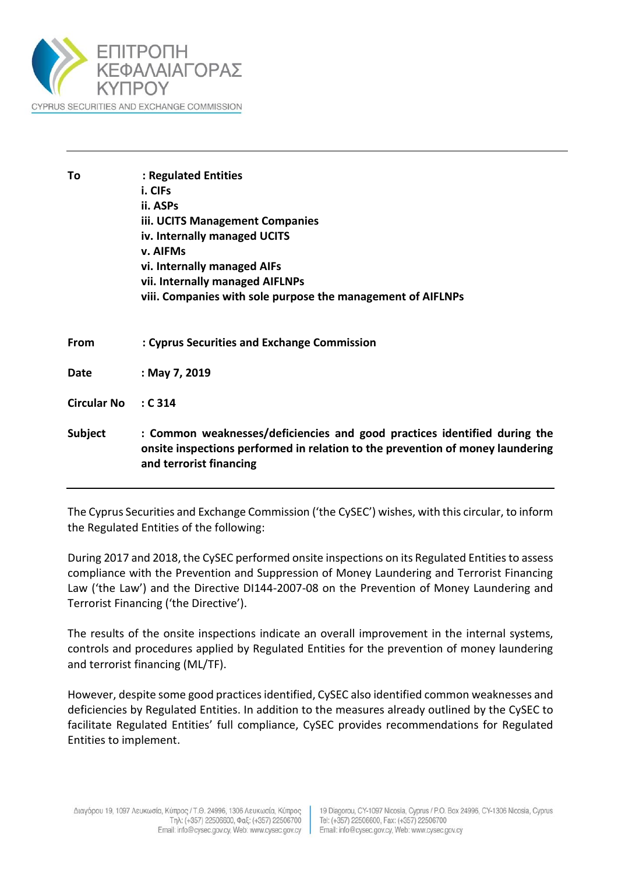

| Τo                 | : Regulated Entities<br>i. CIFs<br>ii. ASPs<br>iii. UCITS Management Companies<br>iv. Internally managed UCITS<br>v. AIFMs<br>vi. Internally managed AIFs<br>vii. Internally managed AIFLNPs<br>viii. Companies with sole purpose the management of AIFLNPs |
|--------------------|-------------------------------------------------------------------------------------------------------------------------------------------------------------------------------------------------------------------------------------------------------------|
| <b>From</b>        | : Cyprus Securities and Exchange Commission                                                                                                                                                                                                                 |
| Date               | : May 7, 2019                                                                                                                                                                                                                                               |
| <b>Circular No</b> | : C314                                                                                                                                                                                                                                                      |
| Subject            | : Common weaknesses/deficiencies and good practices identified during the<br>onsite inspections performed in relation to the prevention of money laundering<br>and terrorist financing                                                                      |

The Cyprus Securities and Exchange Commission ('the CySEC') wishes, with this circular, to inform the Regulated Entities of the following:

During 2017 and 2018, the CySEC performed onsite inspections on its Regulated Entities to assess compliance with the Prevention and Suppression of Money Laundering and Terrorist Financing Law ('the Law') and the Directive DI144-2007-08 on the Prevention of Money Laundering and Terrorist Financing ('the Directive').

The results of the onsite inspections indicate an overall improvement in the internal systems, controls and procedures applied by Regulated Entities for the prevention of money laundering and terrorist financing (ML/TF).

However, despite some good practices identified, CySEC also identified common weaknesses and deficiencies by Regulated Entities. In addition to the measures already outlined by the CySEC to facilitate Regulated Entities' full compliance, CySEC provides recommendations for Regulated Entities to implement.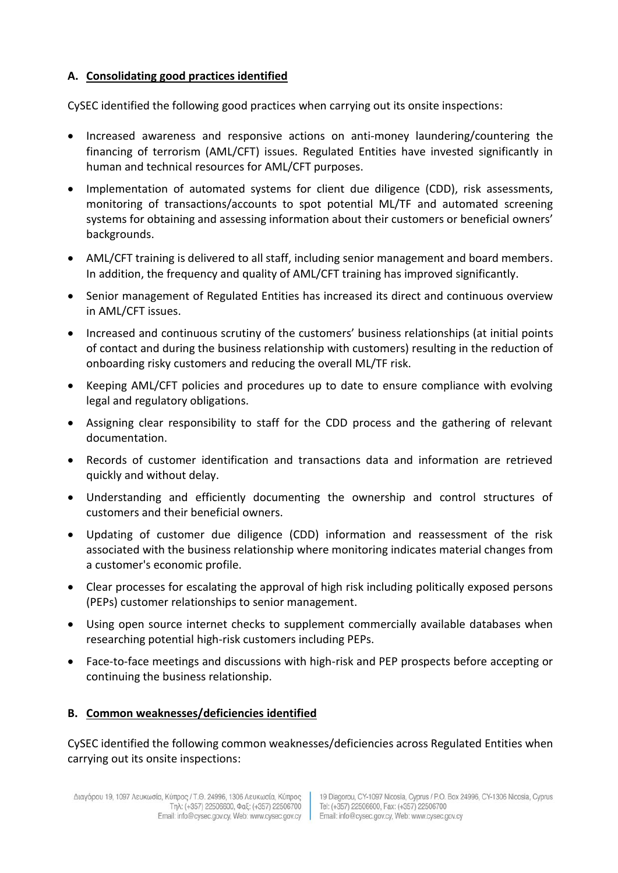## **A. Consolidating good practices identified**

CySEC identified the following good practices when carrying out its onsite inspections:

- Increased awareness and responsive actions on anti-money laundering/countering the financing of terrorism (AML/CFT) issues. Regulated Entities have invested significantly in human and technical resources for AML/CFT purposes.
- Implementation of automated systems for client due diligence (CDD), risk assessments, monitoring of transactions/accounts to spot potential ML/TF and automated screening systems for obtaining and assessing information about their customers or beneficial owners' backgrounds.
- AML/CFT training is delivered to all staff, including senior management and board members. In addition, the frequency and quality of AML/CFT training has improved significantly.
- Senior management of Regulated Entities has increased its direct and continuous overview in AML/CFT issues.
- Increased and continuous scrutiny of the customers' business relationships (at initial points of contact and during the business relationship with customers) resulting in the reduction of onboarding risky customers and reducing the overall ML/TF risk.
- Keeping AML/CFT policies and procedures up to date to ensure compliance with evolving legal and regulatory obligations.
- Assigning clear responsibility to staff for the CDD process and the gathering of relevant documentation.
- Records of customer identification and transactions data and information are retrieved quickly and without delay.
- Understanding and efficiently documenting the ownership and control structures of customers and their beneficial owners.
- Updating of customer due diligence (CDD) information and reassessment of the risk associated with the business relationship where monitoring indicates material changes from a customer's economic profile.
- Clear processes for escalating the approval of high risk including politically exposed persons (PEPs) customer relationships to senior management.
- Using open source internet checks to supplement commercially available databases when researching potential high-risk customers including PEPs.
- Face-to-face meetings and discussions with high-risk and PEP prospects before accepting or continuing the business relationship.

# **B. Common weaknesses/deficiencies identified**

CySEC identified the following common weaknesses/deficiencies across Regulated Entities when carrying out its onsite inspections: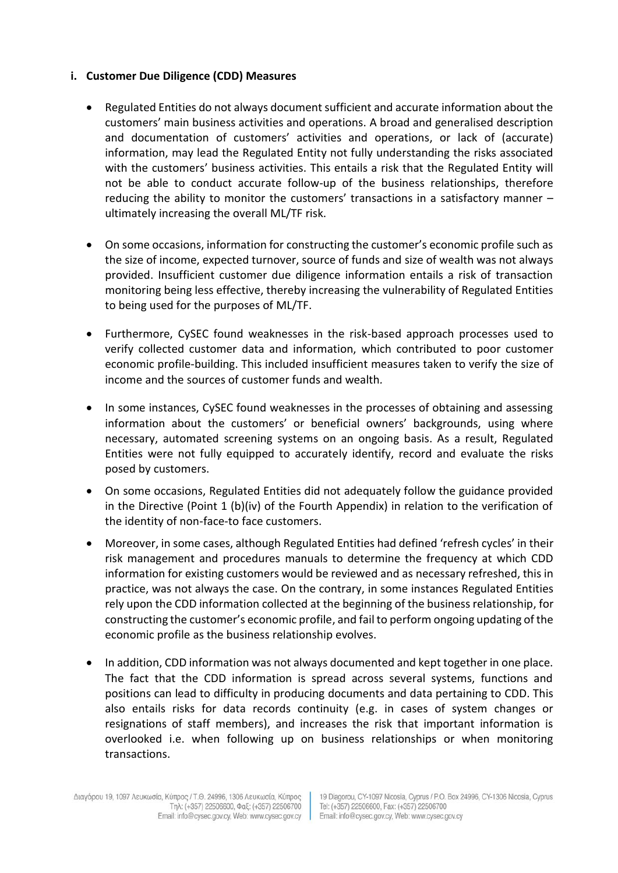#### **i. Customer Due Diligence (CDD) Measures**

- Regulated Entities do not always document sufficient and accurate information about the customers' main business activities and operations. A broad and generalised description and documentation of customers' activities and operations, or lack of (accurate) information, may lead the Regulated Entity not fully understanding the risks associated with the customers' business activities. This entails a risk that the Regulated Entity will not be able to conduct accurate follow-up of the business relationships, therefore reducing the ability to monitor the customers' transactions in a satisfactory manner – ultimately increasing the overall ML/TF risk.
- On some occasions, information for constructing the customer's economic profile such as the size of income, expected turnover, source of funds and size of wealth was not always provided. Insufficient customer due diligence information entails a risk of transaction monitoring being less effective, thereby increasing the vulnerability of Regulated Entities to being used for the purposes of ML/TF.
- Furthermore, CySEC found weaknesses in the risk-based approach processes used to verify collected customer data and information, which contributed to poor customer economic profile-building. This included insufficient measures taken to verify the size of income and the sources of customer funds and wealth*.*
- In some instances, CySEC found weaknesses in the processes of obtaining and assessing information about the customers' or beneficial owners' backgrounds, using where necessary, automated screening systems on an ongoing basis. As a result, Regulated Entities were not fully equipped to accurately identify, record and evaluate the risks posed by customers.
- On some occasions, Regulated Entities did not adequately follow the guidance provided in the Directive (Point 1 (b)(iv) of the Fourth Appendix) in relation to the verification of the identity of non-face-to face customers.
- Moreover, in some cases, although Regulated Entities had defined 'refresh cycles' in their risk management and procedures manuals to determine the frequency at which CDD information for existing customers would be reviewed and as necessary refreshed, this in practice, was not always the case. On the contrary, in some instances Regulated Entities rely upon the CDD information collected at the beginning of the business relationship, for constructing the customer's economic profile, and fail to perform ongoing updating of the economic profile as the business relationship evolves.
- In addition, CDD information was not always documented and kept together in one place. The fact that the CDD information is spread across several systems, functions and positions can lead to difficulty in producing documents and data pertaining to CDD. This also entails risks for data records continuity (e.g. in cases of system changes or resignations of staff members), and increases the risk that important information is overlooked i.e. when following up on business relationships or when monitoring transactions.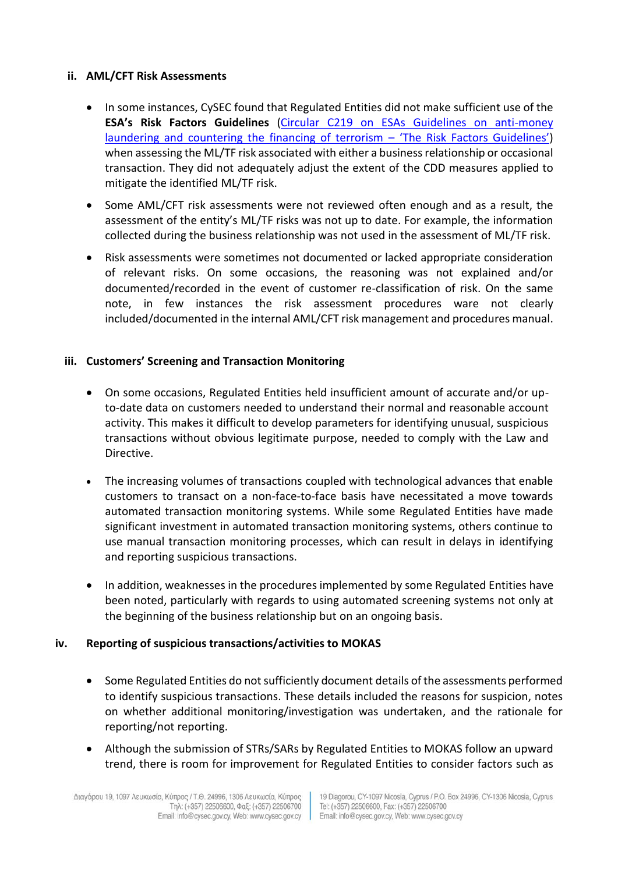### **ii. AML/CFT Risk Assessments**

- In some instances, CySEC found that Regulated Entities did not make sufficient use of the **ESA's Risk Factors Guidelines** [\(Circular C219 on ESAs Guidelines on anti-money](https://www.cysec.gov.cy/CMSPages/GetFile.aspx?guid=eedde526-54a1-4ff1-a582-4c6f83f1a2ba)  [laundering and countering the financing of terrorism](https://www.cysec.gov.cy/CMSPages/GetFile.aspx?guid=eedde526-54a1-4ff1-a582-4c6f83f1a2ba) – 'The Risk Factors Guidelines') when assessing the ML/TF risk associated with either a business relationship or occasional transaction. They did not adequately adjust the extent of the CDD measures applied to mitigate the identified ML/TF risk.
- Some AML/CFT risk assessments were not reviewed often enough and as a result, the assessment of the entity's ML/TF risks was not up to date. For example, the information collected during the business relationship was not used in the assessment of ML/TF risk.
- Risk assessments were sometimes not documented or lacked appropriate consideration of relevant risks. On some occasions, the reasoning was not explained and/or documented/recorded in the event of customer re-classification of risk. On the same note, in few instances the risk assessment procedures ware not clearly included/documented in the internal AML/CFT risk management and procedures manual.

### **iii. Customers' Screening and Transaction Monitoring**

- On some occasions, Regulated Entities held insufficient amount of accurate and/or upto-date data on customers needed to understand their normal and reasonable account activity. This makes it difficult to develop parameters for identifying unusual, suspicious transactions without obvious legitimate purpose, needed to comply with the Law and Directive.
- The increasing volumes of transactions coupled with technological advances that enable customers to transact on a non-face-to-face basis have necessitated a move towards automated transaction monitoring systems. While some Regulated Entities have made significant investment in automated transaction monitoring systems, others continue to use manual transaction monitoring processes, which can result in delays in identifying and reporting suspicious transactions.
- In addition, weaknesses in the procedures implemented by some Regulated Entities have been noted, particularly with regards to using automated screening systems not only at the beginning of the business relationship but on an ongoing basis.

#### **iv. Reporting of suspicious transactions/activities to MOKAS**

- Some Regulated Entities do not sufficiently document details of the assessments performed to identify suspicious transactions. These details included the reasons for suspicion, notes on whether additional monitoring/investigation was undertaken, and the rationale for reporting/not reporting.
- Although the submission of STRs/SARs by Regulated Entities to MOKAS follow an upward trend, there is room for improvement for Regulated Entities to consider factors such as